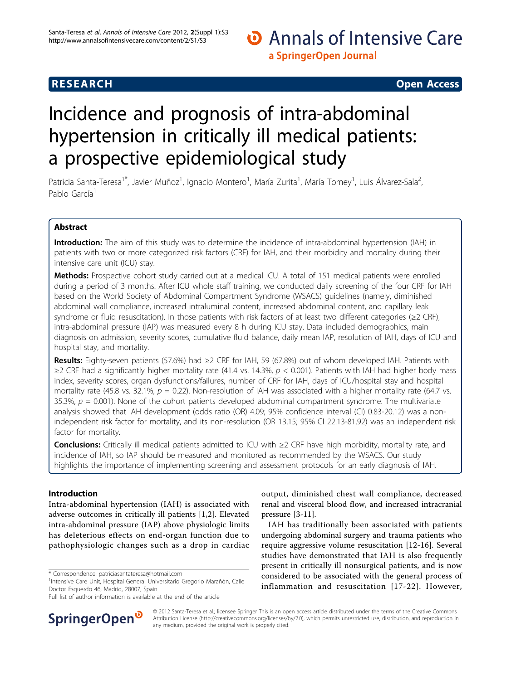# **RESEARCH CONTROL** RESEARCH COMMUNISMENT CONTROL CONTROL CONTROL CONTROL CONTROL CONTROL CONTROL CONTROL CONTROL CONTROL CONTROL CONTROL CONTROL CONTROL CONTROL CONTROL CONTROL CONTROL CONTROL CONTROL CONTROL CONTROL CONTR

# Incidence and prognosis of intra-abdominal hypertension in critically ill medical patients: a prospective epidemiological study

Patricia Santa-Teresa<sup>1\*</sup>, Javier Muñoz<sup>1</sup>, Ignacio Montero<sup>1</sup>, María Zurita<sup>1</sup>, María Tomey<sup>1</sup>, Luis Álvarez-Sala<sup>2</sup> , Pablo García<sup>1</sup>

# Abstract

Introduction: The aim of this study was to determine the incidence of intra-abdominal hypertension (IAH) in patients with two or more categorized risk factors (CRF) for IAH, and their morbidity and mortality during their intensive care unit (ICU) stay.

Methods: Prospective cohort study carried out at a medical ICU. A total of 151 medical patients were enrolled during a period of 3 months. After ICU whole staff training, we conducted daily screening of the four CRF for IAH based on the World Society of Abdominal Compartment Syndrome (WSACS) guidelines (namely, diminished abdominal wall compliance, increased intraluminal content, increased abdominal content, and capillary leak syndrome or fluid resuscitation). In those patients with risk factors of at least two different categories (≥2 CRF), intra-abdominal pressure (IAP) was measured every 8 h during ICU stay. Data included demographics, main diagnosis on admission, severity scores, cumulative fluid balance, daily mean IAP, resolution of IAH, days of ICU and hospital stay, and mortality.

Results: Eighty-seven patients (57.6%) had ≥2 CRF for IAH, 59 (67.8%) out of whom developed IAH. Patients with ≥2 CRF had a significantly higher mortality rate (41.4 vs. 14.3%,  $p < 0.001$ ). Patients with IAH had higher body mass index, severity scores, organ dysfunctions/failures, number of CRF for IAH, days of ICU/hospital stay and hospital mortality rate (45.8 vs. 32.1%,  $p = 0.22$ ). Non-resolution of IAH was associated with a higher mortality rate (64.7 vs. 35.3%,  $p = 0.001$ ). None of the cohort patients developed abdominal compartment syndrome. The multivariate analysis showed that IAH development (odds ratio (OR) 4.09; 95% confidence interval (CI) 0.83-20.12) was a nonindependent risk factor for mortality, and its non-resolution (OR 13.15; 95% CI 22.13-81.92) was an independent risk factor for mortality.

Conclusions: Critically ill medical patients admitted to ICU with ≥2 CRF have high morbidity, mortality rate, and incidence of IAH, so IAP should be measured and monitored as recommended by the WSACS. Our study highlights the importance of implementing screening and assessment protocols for an early diagnosis of IAH.

# Introduction

Intra-abdominal hypertension (IAH) is associated with adverse outcomes in critically ill patients [[1,2](#page-11-0)]. Elevated intra-abdominal pressure (IAP) above physiologic limits has deleterious effects on end-organ function due to pathophysiologic changes such as a drop in cardiac

\* Correspondence: [patriciasantateresa@hotmail.com](mailto:patriciasantateresa@hotmail.com)

Full list of author information is available at the end of the article



output, diminished chest wall compliance, decreased renal and visceral blood flow, and increased intracranial pressure [\[3](#page-11-0)-[11](#page-12-0)].

IAH has traditionally been associated with patients undergoing abdominal surgery and trauma patients who require aggressive volume resuscitation [[12-16](#page-12-0)]. Several studies have demonstrated that IAH is also frequently present in critically ill nonsurgical patients, and is now considered to be associated with the general process of inflammation and resuscitation [[17](#page-12-0)-[22\]](#page-12-0). However,

© 2012 Santa-Teresa et al.; licensee Springer This is an open access article distributed under the terms of the Creative Commons Attribution License [\(http://creativecommons.org/licenses/by/2.0](http://creativecommons.org/licenses/by/2.0)), which permits unrestricted use, distribution, and reproduction in any medium, provided the original work is properly cited.

<sup>&</sup>lt;sup>1</sup>Intensive Care Unit, Hospital General Universitario Gregorio Marañón, Calle Doctor Esquerdo 46, Madrid, 28007, Spain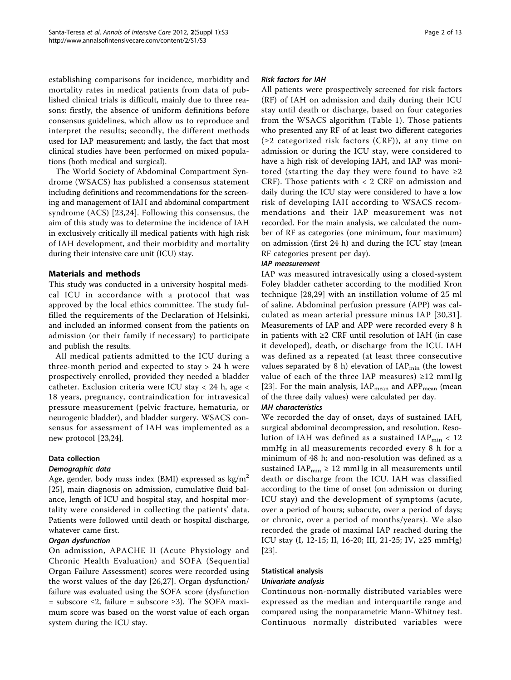establishing comparisons for incidence, morbidity and mortality rates in medical patients from data of published clinical trials is difficult, mainly due to three reasons: firstly, the absence of uniform definitions before consensus guidelines, which allow us to reproduce and interpret the results; secondly, the different methods used for IAP measurement; and lastly, the fact that most clinical studies have been performed on mixed populations (both medical and surgical).

The World Society of Abdominal Compartment Syndrome (WSACS) has published a consensus statement including definitions and recommendations for the screening and management of IAH and abdominal compartment syndrome (ACS) [[23,24\]](#page-12-0). Following this consensus, the aim of this study was to determine the incidence of IAH in exclusively critically ill medical patients with high risk of IAH development, and their morbidity and mortality during their intensive care unit (ICU) stay.

# Materials and methods

This study was conducted in a university hospital medical ICU in accordance with a protocol that was approved by the local ethics committee. The study fulfilled the requirements of the Declaration of Helsinki, and included an informed consent from the patients on admission (or their family if necessary) to participate and publish the results.

All medical patients admitted to the ICU during a three-month period and expected to stay > 24 h were prospectively enrolled, provided they needed a bladder catheter. Exclusion criteria were ICU stay < 24 h, age < 18 years, pregnancy, contraindication for intravesical pressure measurement (pelvic fracture, hematuria, or neurogenic bladder), and bladder surgery. WSACS consensus for assessment of IAH was implemented as a new protocol [\[23,24\]](#page-12-0).

### Data collection

### Demographic data

Age, gender, body mass index (BMI) expressed as  $\text{kg/m}^2$ [[25\]](#page-12-0), main diagnosis on admission, cumulative fluid balance, length of ICU and hospital stay, and hospital mortality were considered in collecting the patients' data. Patients were followed until death or hospital discharge, whatever came first.

### Organ dysfunction

On admission, APACHE II (Acute Physiology and Chronic Health Evaluation) and SOFA (Sequential Organ Failure Assessment) scores were recorded using the worst values of the day [[26,27\]](#page-12-0). Organ dysfunction/ failure was evaluated using the SOFA score (dysfunction = subscore ≤2, failure = subscore ≥3). The SOFA maximum score was based on the worst value of each organ system during the ICU stay.

#### Risk factors for IAH

All patients were prospectively screened for risk factors (RF) of IAH on admission and daily during their ICU stay until death or discharge, based on four categories from the WSACS algorithm (Table [1\)](#page-2-0). Those patients who presented any RF of at least two different categories  $(\geq 2$  categorized risk factors (CRF)), at any time on admission or during the ICU stay, were considered to have a high risk of developing IAH, and IAP was monitored (starting the day they were found to have  $\geq 2$ CRF). Those patients with  $< 2$  CRF on admission and daily during the ICU stay were considered to have a low risk of developing IAH according to WSACS recommendations and their IAP measurement was not recorded. For the main analysis, we calculated the number of RF as categories (one minimum, four maximum) on admission (first 24 h) and during the ICU stay (mean RF categories present per day).

# IAP measurement

IAP was measured intravesically using a closed-system Foley bladder catheter according to the modified Kron technique [\[28,29\]](#page-12-0) with an instillation volume of 25 ml of saline. Abdominal perfusion pressure (APP) was calculated as mean arterial pressure minus IAP [[30,31\]](#page-12-0). Measurements of IAP and APP were recorded every 8 h in patients with ≥2 CRF until resolution of IAH (in case it developed), death, or discharge from the ICU. IAH was defined as a repeated (at least three consecutive values separated by 8 h) elevation of  $IAP_{min}$  (the lowest value of each of the three IAP measures)  $\geq$ 12 mmHg [[23\]](#page-12-0). For the main analysis,  $IAP_{mean}$  and  $APP_{mean}$  (mean of the three daily values) were calculated per day.

### IAH characteristics

We recorded the day of onset, days of sustained IAH, surgical abdominal decompression, and resolution. Resolution of IAH was defined as a sustained  $IAP_{min} < 12$ mmHg in all measurements recorded every 8 h for a minimum of 48 h; and non-resolution was defined as a sustained IAP<sub>min</sub>  $\geq$  12 mmHg in all measurements until death or discharge from the ICU. IAH was classified according to the time of onset (on admission or during ICU stay) and the development of symptoms (acute, over a period of hours; subacute, over a period of days; or chronic, over a period of months/years). We also recorded the grade of maximal IAP reached during the ICU stay (I, 12-15; II, 16-20; III, 21-25; IV, ≥25 mmHg) [[23\]](#page-12-0).

# Statistical analysis

#### Univariate analysis

Continuous non-normally distributed variables were expressed as the median and interquartile range and compared using the nonparametric Mann-Whitney test. Continuous normally distributed variables were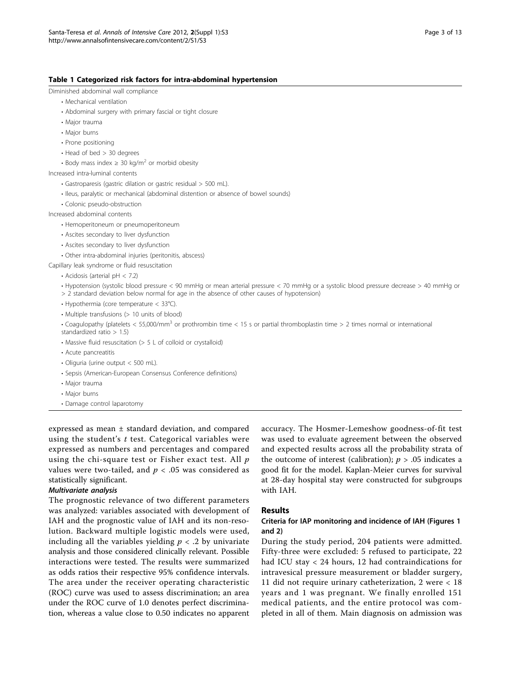#### <span id="page-2-0"></span>Table 1 Categorized risk factors for intra-abdominal hypertension

Diminished abdominal wall compliance

- Mechanical ventilation
- Abdominal surgery with primary fascial or tight closure
- Major trauma
- Major burns
- Prone positioning
- Head of bed > 30 degrees
- Body mass index  $\geq$  30 kg/m<sup>2</sup> or morbid obesity

Increased intra-luminal contents

- Gastroparesis (gastric dilation or gastric residual > 500 mL).
- Ileus, paralytic or mechanical (abdominal distention or absence of bowel sounds)
- Colonic pseudo-obstruction

Increased abdominal contents

- Hemoperitoneum or pneumoperitoneum
- Ascites secondary to liver dysfunction
- Ascites secondary to liver dysfunction

• Other intra-abdominal injuries (peritonitis, abscess)

- Capillary leak syndrome or fluid resuscitation
	- Acidosis (arterial pH < 7.2)
	- Hypotension (systolic blood pressure < 90 mmHg or mean arterial pressure < 70 mmHg or a systolic blood pressure decrease > 40 mmHg or
	- > 2 standard deviation below normal for age in the absence of other causes of hypotension)
	- Hypothermia (core temperature < 33°C).
	- Multiple transfusions (> 10 units of blood)

• Coagulopathy (platelets < 55,000/mm<sup>3</sup> or prothrombin time < 15 s or partial thromboplastin time > 2 times normal or international standardized ratio > 1.5)

- Massive fluid resuscitation (> 5 L of colloid or crystalloid)
- Acute pancreatitis
- Oliguria (urine output < 500 mL).
- Sepsis (American-European Consensus Conference definitions)
- Major trauma
- Major burns
- Damage control laparotomy

expressed as mean ± standard deviation, and compared using the student's  $t$  test. Categorical variables were expressed as numbers and percentages and compared using the chi-square test or Fisher exact test. All  $p$ values were two-tailed, and  $p < .05$  was considered as statistically significant.

#### Multivariate analysis

The prognostic relevance of two different parameters was analyzed: variables associated with development of IAH and the prognostic value of IAH and its non-resolution. Backward multiple logistic models were used, including all the variables yielding  $p < 0.2$  by univariate analysis and those considered clinically relevant. Possible interactions were tested. The results were summarized as odds ratios their respective 95% confidence intervals. The area under the receiver operating characteristic (ROC) curve was used to assess discrimination; an area under the ROC curve of 1.0 denotes perfect discrimination, whereas a value close to 0.50 indicates no apparent

accuracy. The Hosmer-Lemeshow goodness-of-fit test was used to evaluate agreement between the observed and expected results across all the probability strata of the outcome of interest (calibration);  $p > .05$  indicates a good fit for the model. Kaplan-Meier curves for survival at 28-day hospital stay were constructed for subgroups with IAH.

#### Results

#### Criteria for IAP monitoring and incidence of IAH (Figures [1](#page-3-0) and [2](#page-4-0))

During the study period, 204 patients were admitted. Fifty-three were excluded: 5 refused to participate, 22 had ICU stay < 24 hours, 12 had contraindications for intravesical pressure measurement or bladder surgery, 11 did not require urinary catheterization, 2 were < 18 years and 1 was pregnant. We finally enrolled 151 medical patients, and the entire protocol was completed in all of them. Main diagnosis on admission was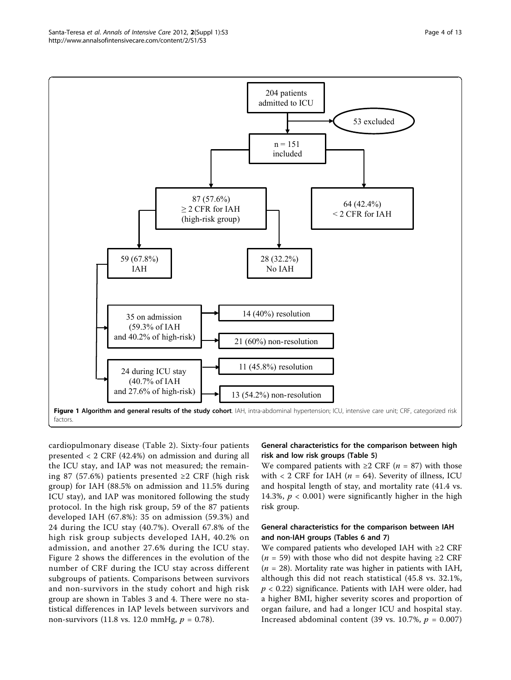<span id="page-3-0"></span>Santa-Teresa et al. Annals of Intensive Care 2012, 2(Suppl 1):S3 http://www.annalsofintensivecare.com/content/2/S1/S3



cardiopulmonary disease (Table [2\)](#page-4-0). Sixty-four patients presented < 2 CRF (42.4%) on admission and during all the ICU stay, and IAP was not measured; the remaining 87 (57.6%) patients presented ≥2 CRF (high risk group) for IAH (88.5% on admission and 11.5% during ICU stay), and IAP was monitored following the study protocol. In the high risk group, 59 of the 87 patients developed IAH (67.8%): 35 on admission (59.3%) and 24 during the ICU stay (40.7%). Overall 67.8% of the high risk group subjects developed IAH, 40.2% on admission, and another 27.6% during the ICU stay. Figure [2](#page-4-0) shows the differences in the evolution of the number of CRF during the ICU stay across different subgroups of patients. Comparisons between survivors and non-survivors in the study cohort and high risk group are shown in Tables [3](#page-5-0) and [4.](#page-5-0) There were no statistical differences in IAP levels between survivors and non-survivors (11.8 vs. 12.0 mmHg,  $p = 0.78$ ).

# General characteristics for the comparison between high risk and low risk groups (Table [5](#page-5-0))

We compared patients with  $\geq 2$  CRF (*n* = 87) with those with  $< 2$  CRF for IAH ( $n = 64$ ). Severity of illness, ICU and hospital length of stay, and mortality rate (41.4 vs. 14.3%,  $p < 0.001$ ) were significantly higher in the high risk group.

### General characteristics for the comparison between IAH and non-IAH groups (Tables [6](#page-6-0) and [7](#page-7-0))

We compared patients who developed IAH with ≥2 CRF ( $n = 59$ ) with those who did not despite having ≥2 CRF  $(n = 28)$ . Mortality rate was higher in patients with IAH, although this did not reach statistical (45.8 vs. 32.1%,  $p < 0.22$ ) significance. Patients with IAH were older, had a higher BMI, higher severity scores and proportion of organ failure, and had a longer ICU and hospital stay. Increased abdominal content (39 vs. 10.7%,  $p = 0.007$ )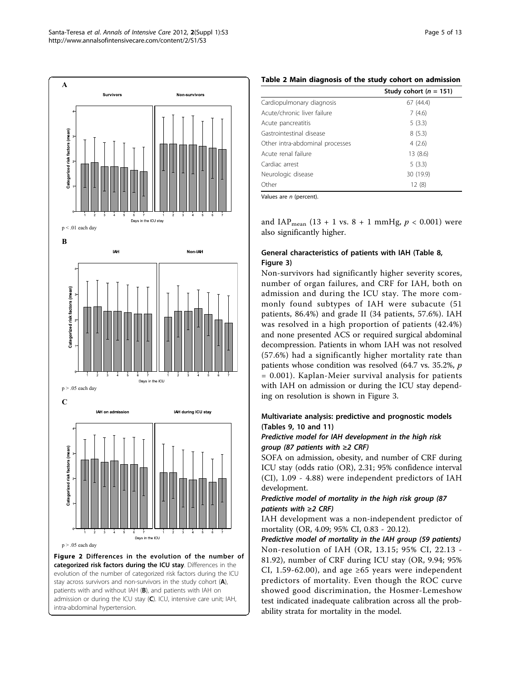<span id="page-4-0"></span>

admission or during the ICU stay (C). ICU, intensive care unit; IAH, intra-abdominal hypertension.

# Table 2 Main diagnosis of the study cohort on admission

|                                 | Study cohort ( $n = 151$ ) |
|---------------------------------|----------------------------|
| Cardiopulmonary diagnosis       | 67(44.4)                   |
| Acute/chronic liver failure     | 7(4.6)                     |
| Acute pancreatitis              | 5(3.3)                     |
| Gastrointestinal disease        | 8(5.3)                     |
| Other intra-abdominal processes | 4(2.6)                     |
| Acute renal failure             | 13 (8.6)                   |
| Cardiac arrest                  | 5(3.3)                     |
| Neurologic disease              | 30 (19.9)                  |
| Other                           | 12(8)                      |

Values are *n* (percent).

and IAP<sub>mean</sub> (13 + 1 vs. 8 + 1 mmHg,  $p < 0.001$ ) were also significantly higher.

# General characteristics of patients with IAH (Table [8](#page-7-0), Figure [3\)](#page-9-0)

Non-survivors had significantly higher severity scores, number of organ failures, and CRF for IAH, both on admission and during the ICU stay. The more commonly found subtypes of IAH were subacute (51 patients, 86.4%) and grade II (34 patients, 57.6%). IAH was resolved in a high proportion of patients (42.4%) and none presented ACS or required surgical abdominal decompression. Patients in whom IAH was not resolved (57.6%) had a significantly higher mortality rate than patients whose condition was resolved (64.7 vs. 35.2%, p = 0.001). Kaplan-Meier survival analysis for patients with IAH on admission or during the ICU stay depending on resolution is shown in Figure [3.](#page-9-0)

# Multivariate analysis: predictive and prognostic models (Tables [9,](#page-9-0) [10](#page-10-0) and [11](#page-10-0))

# Predictive model for IAH development in the high risk group (87 patients with ≥2 CRF)

SOFA on admission, obesity, and number of CRF during ICU stay (odds ratio (OR), 2.31; 95% confidence interval (CI), 1.09 - 4.88) were independent predictors of IAH development.

# Predictive model of mortality in the high risk group (87 patients with ≥2 CRF)

IAH development was a non-independent predictor of mortality (OR, 4.09; 95% CI, 0.83 - 20.12).

Predictive model of mortality in the IAH group (59 patients) Non-resolution of IAH (OR, 13.15; 95% CI, 22.13 - 81.92), number of CRF during ICU stay (OR, 9.94; 95% CI, 1.59-62.00), and age  $\geq 65$  years were independent predictors of mortality. Even though the ROC curve showed good discrimination, the Hosmer-Lemeshow test indicated inadequate calibration across all the probability strata for mortality in the model.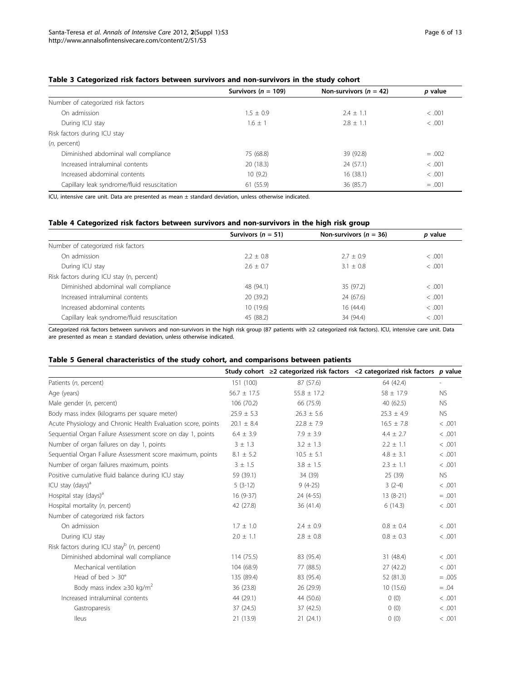|                                             | Survivors ( $n = 109$ ) | Non-survivors ( $n = 42$ ) | p value |
|---------------------------------------------|-------------------------|----------------------------|---------|
| Number of categorized risk factors          |                         |                            |         |
| On admission                                | $1.5 + 0.9$             | $2.4 \pm 1.1$              | < .001  |
| During ICU stay                             | $1.6 + 1$               | $2.8 + 1.1$                | < .001  |
| Risk factors during ICU stay                |                         |                            |         |
| (n, percent)                                |                         |                            |         |
| Diminished abdominal wall compliance        | 75 (68.8)               | 39 (92.8)                  | $=.002$ |
| Increased intraluminal contents             | 20(18.3)                | 24(57.1)                   | < .001  |
| Increased abdominal contents                | 10(9.2)                 | 16(38.1)                   | < .001  |
| Capillary leak syndrome/fluid resuscitation | 61 (55.9)               | 36 (85.7)                  | $=.001$ |

#### <span id="page-5-0"></span>Table 3 Categorized risk factors between survivors and non-survivors in the study cohort

ICU, intensive care unit. Data are presented as mean ± standard deviation, unless otherwise indicated.

# Table 4 Categorized risk factors between survivors and non-survivors in the high risk group

|                                             | Survivors ( $n = 51$ ) | Non-survivors ( $n = 36$ ) | p value |
|---------------------------------------------|------------------------|----------------------------|---------|
| Number of categorized risk factors          |                        |                            |         |
| On admission                                | $2.2 + 0.8$            | $2.7 + 0.9$                | <.001   |
| During ICU stay                             | $2.6 + 0.7$            | $3.1 + 0.8$                | < .001  |
| Risk factors during ICU stay (n, percent)   |                        |                            |         |
| Diminished abdominal wall compliance        | 48 (94.1)              | 35 (97.2)                  | <.001   |
| Increased intraluminal contents             | 20 (39.2)              | 24 (67.6)                  | < .001  |
| Increased abdominal contents                | 10 (19.6)              | 16 (44.4)                  | < .001  |
| Capillary leak syndrome/fluid resuscitation | 45 (88.2)              | 34 (94.4)                  | < .001  |

Categorized risk factors between survivors and non-survivors in the high risk group (87 patients with ≥2 categorized risk factors). ICU, intensive care unit. Data are presented as mean  $\pm$  standard deviation, unless otherwise indicated.

#### Table 5 General characteristics of the study cohort, and comparisons between patients

|                                                              |                 | Study cohort $\geq$ 2 categorized risk factors <2 categorized risk factors p value |                |           |
|--------------------------------------------------------------|-----------------|------------------------------------------------------------------------------------|----------------|-----------|
| Patients (n, percent)                                        | 151 (100)       | 87 (57.6)                                                                          | 64 (42.4)      |           |
| Age (years)                                                  | $56.7 \pm 17.5$ | $55.8 \pm 17.2$                                                                    | $58 \pm 17.9$  | <b>NS</b> |
| Male gender (n, percent)                                     | 106 (70.2)      | 66 (75.9)                                                                          | 40(62.5)       | <b>NS</b> |
| Body mass index (kilograms per square meter)                 | $25.9 \pm 5.3$  | $26.3 \pm 5.6$                                                                     | $25.3 \pm 4.9$ | <b>NS</b> |
| Acute Physiology and Chronic Health Evaluation score, points | $20.1 \pm 8.4$  | $22.8 \pm 7.9$                                                                     | $16.5 \pm 7.8$ | < .001    |
| Sequential Organ Failure Assessment score on day 1, points   | $6.4 \pm 3.9$   | $7.9 \pm 3.9$                                                                      | $4.4 \pm 2.7$  | < .001    |
| Number of organ failures on day 1, points                    | $3 \pm 1.3$     | $3.2 \pm 1.3$                                                                      | $2.2 \pm 1.1$  | < .001    |
| Sequential Organ Failure Assessment score maximum, points    | $8.1 \pm 5.2$   | $10.5 \pm 5.1$                                                                     | $4.8 \pm 3.1$  | < .001    |
| Number of organ failures maximum, points                     | 3 ± 1.5         | $3.8 \pm 1.5$                                                                      | $2.3 \pm 1.1$  | < .001    |
| Positive cumulative fluid balance during ICU stay            | 59 (39.1)       | 34 (39)                                                                            | 25 (39)        | <b>NS</b> |
| ICU stay (days) <sup>a</sup>                                 | $5(3-12)$       | $9(4-25)$                                                                          | $3(2-4)$       | < .001    |
| Hospital stay (days) <sup>a</sup>                            | $16(9-37)$      | 24 (4-55)                                                                          | $13(8-21)$     | $=.001$   |
| Hospital mortality (n, percent)                              | 42 (27.8)       | 36 (41.4)                                                                          | 6(14.3)        | < .001    |
| Number of categorized risk factors                           |                 |                                                                                    |                |           |
| On admission                                                 | $1.7 \pm 1.0$   | $2.4 \pm 0.9$                                                                      | $0.8 \pm 0.4$  | < .001    |
| During ICU stay                                              | $2.0 \pm 1.1$   | $2.8 \pm 0.8$                                                                      | $0.8 \pm 0.3$  | < .001    |
| Risk factors during ICU stay <sup>b</sup> (n, percent)       |                 |                                                                                    |                |           |
| Diminished abdominal wall compliance                         | 114(75.5)       | 83 (95.4)                                                                          | 31 (48.4)      | < .001    |
| Mechanical ventilation                                       | 104 (68.9)      | 77 (88.5)                                                                          | 27(42.2)       | < .001    |
| Head of bed $> 30^\circ$                                     | 135 (89.4)      | 83 (95.4)                                                                          | 52 (81.3)      | $=.005$   |
| Body mass index $\geq$ 30 kg/m <sup>2</sup>                  | 36 (23.8)       | 26 (29.9)                                                                          | 10(15.6)       | $=.04$    |
| Increased intraluminal contents                              | 44 (29.1)       | 44 (50.6)                                                                          | 0(0)           | < .001    |
| Gastroparesis                                                | 37 (24.5)       | 37 (42.5)                                                                          | 0(0)           | < .001    |
| <b>Ileus</b>                                                 | 21 (13.9)       | 21(24.1)                                                                           | 0(0)           | < .001    |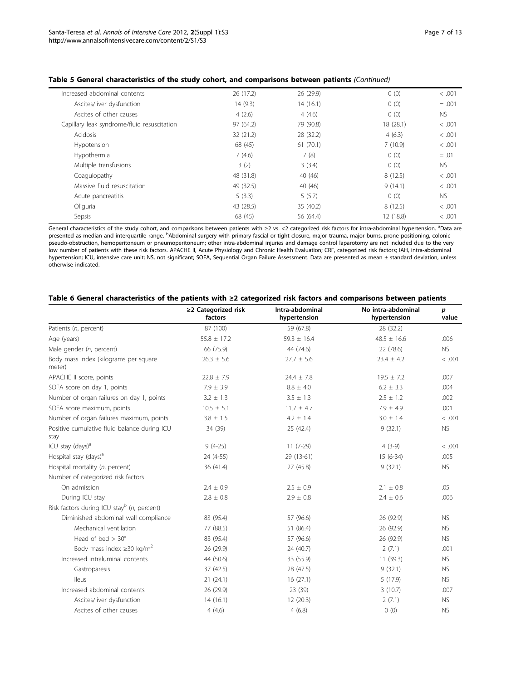| Increased abdominal contents                | 26 (17.2) | 26 (29.9) | 0(0)      | < .001    |
|---------------------------------------------|-----------|-----------|-----------|-----------|
| Ascites/liver dysfunction                   | 14(9.3)   | 14(16.1)  | 0(0)      | $=.001$   |
| Ascites of other causes                     | 4(2.6)    | 4(4.6)    | 0(0)      | <b>NS</b> |
| Capillary leak syndrome/fluid resuscitation | 97 (64.2) | 79 (90.8) | 18 (28.1) | < .001    |
| Acidosis                                    | 32 (21.2) | 28 (32.2) | 4(6.3)    | < .001    |
| Hypotension                                 | 68 (45)   | 61(70.1)  | 7(10.9)   | < .001    |
| Hypothermia                                 | 7(4.6)    | 7(8)      | 0(0)      | $=.01$    |
| Multiple transfusions                       | 3(2)      | 3(3.4)    | 0(0)      | <b>NS</b> |
| Coagulopathy                                | 48 (31.8) | 40 (46)   | 8(12.5)   | < .001    |
| Massive fluid resuscitation                 | 49 (32.5) | 40 (46)   | 9(14.1)   | < .001    |
| Acute pancreatitis                          | 5(3.3)    | 5(5.7)    | 0(0)      | <b>NS</b> |
| Oliguria                                    | 43 (28.5) | 35 (40.2) | 8(12.5)   | < .001    |
| Sepsis                                      | 68 (45)   | 56 (64.4) | 12 (18.8) | < .001    |

#### <span id="page-6-0"></span>Table 5 General characteristics of the study cohort, and comparisons between patients (Continued)

General characteristics of the study cohort, and comparisons between patients with ≥2 vs. <2 categorized risk factors for intra-abdominal hypertension. <sup>a</sup>Data are presented as median and interquartile range. <sup>b</sup>Abdominal surgery with primary fascial or tight closure, major trauma, major burns, prone positioning, colonic pseudo-obstruction, hemoperitoneum or pneumoperitoneum; other intra-abdominal injuries and damage control laparotomy are not included due to the very low number of patients with these risk factors. APACHE II, Acute Physiology and Chronic Health Evaluation; CRF, categorized risk factors; IAH, intra-abdominal hypertension; ICU, intensive care unit; NS, not significant; SOFA, Sequential Organ Failure Assessment. Data are presented as mean ± standard deviation, unless otherwise indicated.

#### Table 6 General characteristics of the patients with ≥2 categorized risk factors and comparisons between patients

|                                                        | $\geq$ 2 Categorized risk<br>factors | Intra-abdominal<br>hypertension | No intra-abdominal<br>hypertension | $\boldsymbol{p}$<br>value |
|--------------------------------------------------------|--------------------------------------|---------------------------------|------------------------------------|---------------------------|
| Patients (n, percent)                                  | 87 (100)                             | 59 (67.8)                       | 28 (32.2)                          |                           |
| Age (years)                                            | $55.8 \pm 17.2$                      | $59.3 \pm 16.4$                 | $48.5 \pm 16.6$                    | .006                      |
| Male gender (n, percent)                               | 66 (75.9)                            | 44 (74.6)                       | 22 (78.6)                          | <b>NS</b>                 |
| Body mass index (kilograms per square<br>meter)        | $26.3 \pm 5.6$                       | $27.7 \pm 5.6$                  | $23.4 \pm 4.2$                     | < .001                    |
| APACHE II score, points                                | $22.8 \pm 7.9$                       | $24.4 \pm 7.8$                  | $19.5 \pm 7.2$                     | .007                      |
| SOFA score on day 1, points                            | $7.9 \pm 3.9$                        | $8.8 \pm 4.0$                   | $6.2 \pm 3.3$                      | .004                      |
| Number of organ failures on day 1, points              | $3.2 \pm 1.3$                        | $3.5 \pm 1.3$                   | $2.5 \pm 1.2$                      | .002                      |
| SOFA score maximum, points                             | $10.5 \pm 5.1$                       | $11.7 \pm 4.7$                  | $7.9 \pm 4.9$                      | .001                      |
| Number of organ failures maximum, points               | $3.8 \pm 1.5$                        | $4.2 \pm 1.4$                   | $3.0 \pm 1.4$                      | < .001                    |
| Positive cumulative fluid balance during ICU<br>stay   | 34 (39)                              | 25 (42.4)                       | 9(32.1)                            | <b>NS</b>                 |
| ICU stay (days) <sup>a</sup>                           | $9(4-25)$                            | $11(7-29)$                      | $4(3-9)$                           | < .001                    |
| Hospital stay (days) <sup>a</sup>                      | 24 (4-55)                            | 29 (13-61)                      | $15(6-34)$                         | .005                      |
| Hospital mortality (n, percent)                        | 36 (41.4)                            | 27(45.8)                        | 9(32.1)                            | <b>NS</b>                 |
| Number of categorized risk factors                     |                                      |                                 |                                    |                           |
| On admission                                           | $2.4 \pm 0.9$                        | $2.5 \pm 0.9$                   | $2.1 \pm 0.8$                      | .05                       |
| During ICU stay                                        | $2.8 \pm 0.8$                        | $2.9 \pm 0.8$                   | $2.4 \pm 0.6$                      | .006                      |
| Risk factors during ICU stay <sup>b</sup> (n, percent) |                                      |                                 |                                    |                           |
| Diminished abdominal wall compliance                   | 83 (95.4)                            | 57 (96.6)                       | 26 (92.9)                          | <b>NS</b>                 |
| Mechanical ventilation                                 | 77 (88.5)                            | 51 (86.4)                       | 26 (92.9)                          | <b>NS</b>                 |
| Head of bed $> 30^\circ$                               | 83 (95.4)                            | 57 (96.6)                       | 26 (92.9)                          | <b>NS</b>                 |
| Body mass index $\geq$ 30 kg/m <sup>2</sup>            | 26 (29.9)                            | 24 (40.7)                       | 2(7.1)                             | .001                      |
| Increased intraluminal contents                        | 44 (50.6)                            | 33 (55.9)                       | 11(39.3)                           | <b>NS</b>                 |
| Gastroparesis                                          | 37 (42.5)                            | 28 (47.5)                       | 9(32.1)                            | <b>NS</b>                 |
| <b>Ileus</b>                                           | 21(24.1)                             | 16(27.1)                        | 5(17.9)                            | <b>NS</b>                 |
| Increased abdominal contents                           | 26 (29.9)                            | 23 (39)                         | 3(10.7)                            | .007                      |
| Ascites/liver dysfunction                              | 14(16.1)                             | 12 (20.3)                       | 2(7.1)                             | <b>NS</b>                 |
| Ascites of other causes                                | 4(4.6)                               | 4(6.8)                          | 0(0)                               | <b>NS</b>                 |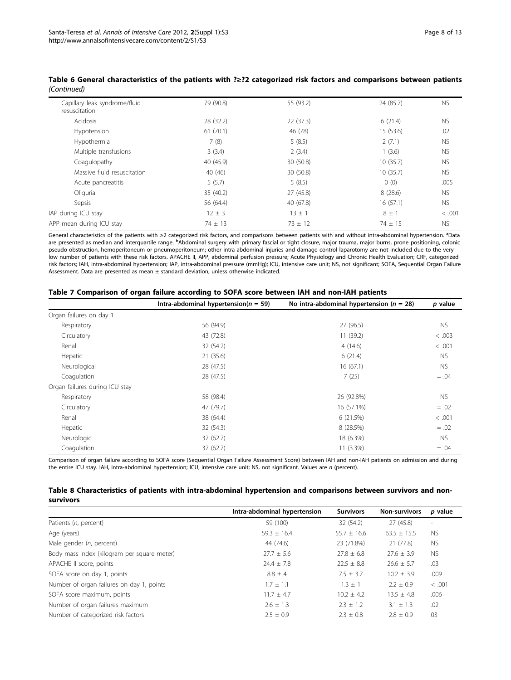| Capillary leak syndrome/fluid<br>resuscitation | 79 (90.8)   | 55 (93.2)   | 24 (85.7)   | <b>NS</b> |
|------------------------------------------------|-------------|-------------|-------------|-----------|
| Acidosis                                       | 28 (32.2)   | 22(37.3)    | 6(21.4)     | <b>NS</b> |
| Hypotension                                    | 61(70.1)    | 46 (78)     | 15 (53.6)   | .02       |
| Hypothermia                                    | 7(8)        | 5(8.5)      | 2(7.1)      | <b>NS</b> |
| Multiple transfusions                          | 3(3.4)      | 2(3.4)      | 1(3.6)      | <b>NS</b> |
| Coagulopathy                                   | 40 (45.9)   | 30 (50.8)   | 10(35.7)    | <b>NS</b> |
| Massive fluid resuscitation                    | 40 (46)     | 30 (50.8)   | 10(35.7)    | <b>NS</b> |
| Acute pancreatitis                             | 5(5.7)      | 5(8.5)      | 0(0)        | .005      |
| Oliguria                                       | 35 (40.2)   | 27(45.8)    | 8(28.6)     | <b>NS</b> |
| Sepsis                                         | 56 (64.4)   | 40 (67.8)   | 16(57.1)    | <b>NS</b> |
| IAP during ICU stay                            | $12 \pm 3$  | $13 \pm 1$  | $8 \pm 1$   | < .001    |
| APP mean during ICU stay                       | $74 \pm 13$ | $73 \pm 12$ | $74 \pm 15$ | <b>NS</b> |

#### <span id="page-7-0"></span>Table 6 General characteristics of the patients with ?≥?2 categorized risk factors and comparisons between patients (Continued)

General characteristics of the patients with ≥2 categorized risk factors, and comparisons between patients with and without intra-abdominal hypertension. <sup>a</sup>Data are presented as median and interquartile range. <sup>b</sup>Abdominal surgery with primary fascial or tight closure, major trauma, major burns, prone positioning, colonic pseudo-obstruction, hemoperitoneum or pneumoperitoneum; other intra-abdominal injuries and damage control laparotomy are not included due to the very low number of patients with these risk factors. APACHE II, APP, abdominal perfusion pressure; Acute Physiology and Chronic Health Evaluation; CRF, categorized risk factors; IAH, intra-abdominal hypertension; IAP, intra-abdominal pressure (mmHg); ICU, intensive care unit; NS, not significant; SOFA, Sequential Organ Failure Assessment. Data are presented as mean ± standard deviation, unless otherwise indicated.

|                                | Intra-abdominal hypertension( $n = 59$ ) | No intra-abdominal hypertension ( $n = 28$ ) | p value   |
|--------------------------------|------------------------------------------|----------------------------------------------|-----------|
| Organ failures on day 1        |                                          |                                              |           |
| Respiratory                    | 56 (94.9)                                | 27 (96.5)                                    | <b>NS</b> |
| Circulatory                    | 43 (72.8)                                | 11(39.2)                                     | < .003    |
| Renal                          | 32 (54.2)                                | 4(14.6)                                      | < .001    |
| Hepatic                        | 21 (35.6)                                | 6(21.4)                                      | <b>NS</b> |
| Neurological                   | 28 (47.5)                                | 16(67.1)                                     | <b>NS</b> |
| Coagulation                    | 28 (47.5)                                | 7(25)                                        | $=.04$    |
| Organ failures during ICU stay |                                          |                                              |           |
| Respiratory                    | 58 (98.4)                                | 26 (92.8%)                                   | <b>NS</b> |
| Circulatory                    | 47 (79.7)                                | 16 (57.1%)                                   | $=.02$    |
| Renal                          | 38 (64.4)                                | 6(21.5%)                                     | < .001    |
| Hepatic                        | 32 (54.3)                                | 8 (28.5%)                                    | $=.02$    |
| Neurologic                     | 37 (62.7)                                | 18 (6.3%)                                    | <b>NS</b> |
| Coagulation                    | 37 (62.7)                                | $11(3.3\%)$                                  | $=.04$    |

#### Table 7 Comparison of organ failure according to SOFA score between IAH and non-IAH patients

Comparison of organ failure according to SOFA score (Sequential Organ Failure Assessment Score) between IAH and non-IAH patients on admission and during the entire ICU stay. IAH, intra-abdominal hypertension; ICU, intensive care unit; NS, not significant. Values are n (percent).

#### Table 8 Characteristics of patients with intra-abdominal hypertension and comparisons between survivors and nonsurvivors

|                                             | Intra-abdominal hypertension | <b>Survivors</b> | <b>Non-survivors</b> | p value                  |
|---------------------------------------------|------------------------------|------------------|----------------------|--------------------------|
| Patients (n, percent)                       | 59 (100)                     | 32 (54.2)        | 27 (45.8)            | $\overline{\phantom{a}}$ |
| Age (years)                                 | $59.3 \pm 16.4$              | $55.7 + 16.6$    | $63.5 \pm 15.5$      | <b>NS</b>                |
| Male gender $(n,$ percent)                  | 44 (74.6)                    | 23 (71.8%)       | 21(77.8)             | <b>NS</b>                |
| Body mass index (kilogram per square meter) | $27.7 \pm 5.6$               | $27.8 \pm 6.8$   | $27.6 \pm 3.9$       | <b>NS</b>                |
| APACHE II score, points                     | $74.4 + 7.8$                 | $22.5 + 8.8$     | $26.6 \pm 5.7$       | .03                      |
| SOFA score on day 1, points                 | $8.8 + 4$                    | $7.5 \pm 3.7$    | $10.2 \pm 3.9$       | .009                     |
| Number of organ failures on day 1, points   | $1.7 \pm 1.1$                | $1.3 \pm 1$      | $2.2 \pm 0.9$        | < .001                   |
| SOFA score maximum, points                  | $11.7 + 4.7$                 | $10.2 + 4.2$     | $13.5 + 4.8$         | .006                     |
| Number of organ failures maximum            | $2.6 \pm 1.3$                | $2.3 \pm 1.2$    | $3.1 \pm 1.3$        | .02                      |
| Number of categorized risk factors          | $2.5 + 0.9$                  | $2.3 \pm 0.8$    | $2.8 + 0.9$          | 03                       |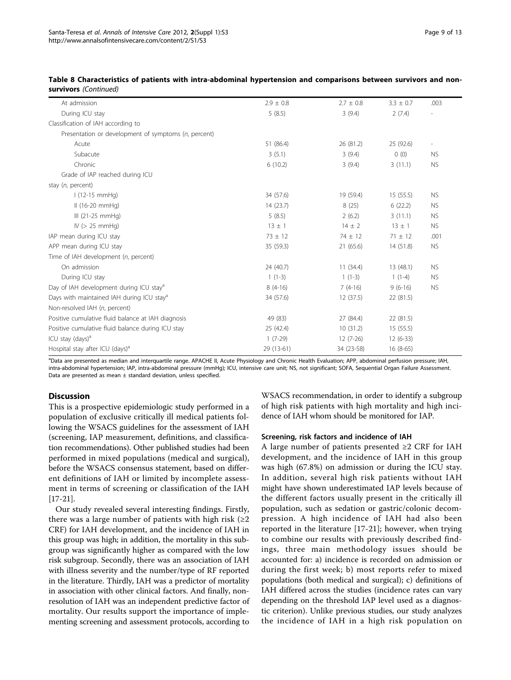| $2.9 \pm 0.8$ | $2.7 \pm 0.8$ | $3.3 \pm 0.7$ | .003                     |
|---------------|---------------|---------------|--------------------------|
| 5(8.5)        | 3(9.4)        | 2(7.4)        |                          |
|               |               |               |                          |
|               |               |               |                          |
| 51 (86.4)     | 26 (81.2)     | 25 (92.6)     | $\overline{\phantom{a}}$ |
| 3(5.1)        | 3(9.4)        | 0(0)          | <b>NS</b>                |
| 6(10.2)       | 3(9.4)        | 3(11.1)       | <b>NS</b>                |
|               |               |               |                          |
|               |               |               |                          |
| 34 (57.6)     | 19 (59.4)     | 15(55.5)      | <b>NS</b>                |
| 14(23.7)      | 8(25)         | 6(22.2)       | <b>NS</b>                |
| 5(8.5)        | 2(6.2)        | 3(11.1)       | <b>NS</b>                |
| $13 \pm 1$    | $14 \pm 2$    | $13 \pm 1$    | <b>NS</b>                |
| $73 \pm 12$   | $74 \pm 12$   | $71 \pm 12$   | .001                     |
| 35 (59.3)     | 21 (65.6)     | 14 (51.8)     | <b>NS</b>                |
|               |               |               |                          |
| 24 (40.7)     | 11(34.4)      | 13 (48.1)     | <b>NS</b>                |
| $1(1-3)$      | $1(1-3)$      | $1(1-4)$      | <b>NS</b>                |
| $8(4-16)$     | $7(4-16)$     | $9(6-16)$     | <b>NS</b>                |
| 34 (57.6)     | 12 (37.5)     | 22 (81.5)     |                          |
|               |               |               |                          |
| 49 (83)       | 27 (84.4)     | 22 (81.5)     |                          |
| 25 (42.4)     | 10(31.2)      | 15(55.5)      |                          |
| $1(7-29)$     | $12(7-26)$    | $12(6-33)$    |                          |
| 29 (13-61)    | 34 (23-58)    | $16(8-65)$    |                          |
|               |               |               |                          |

| Table 8 Characteristics of patients with intra-abdominal hypertension and comparisons between survivors and non- |
|------------------------------------------------------------------------------------------------------------------|
| survivors (Continued)                                                                                            |

<sup>a</sup>Data are presented as median and interquartile range. APACHE II, Acute Physiology and Chronic Health Evaluation; APP, abdominal perfusion pressure; IAH, intra-abdominal hypertension; IAP, intra-abdominal pressure (mmHg); ICU, intensive care unit; NS, not significant; SOFA, Sequential Organ Failure Assessment. Data are presented as mean ± standard deviation, unless specified.

### **Discussion**

This is a prospective epidemiologic study performed in a population of exclusive critically ill medical patients following the WSACS guidelines for the assessment of IAH (screening, IAP measurement, definitions, and classification recommendations). Other published studies had been performed in mixed populations (medical and surgical), before the WSACS consensus statement, based on different definitions of IAH or limited by incomplete assessment in terms of screening or classification of the IAH [[17](#page-12-0)-[21](#page-12-0)].

Our study revealed several interesting findings. Firstly, there was a large number of patients with high risk  $(\geq 2)$ CRF) for IAH development, and the incidence of IAH in this group was high; in addition, the mortality in this subgroup was significantly higher as compared with the low risk subgroup. Secondly, there was an association of IAH with illness severity and the number/type of RF reported in the literature. Thirdly, IAH was a predictor of mortality in association with other clinical factors. And finally, nonresolution of IAH was an independent predictive factor of mortality. Our results support the importance of implementing screening and assessment protocols, according to WSACS recommendation, in order to identify a subgroup of high risk patients with high mortality and high incidence of IAH whom should be monitored for IAP.

### Screening, risk factors and incidence of IAH

A large number of patients presented ≥2 CRF for IAH development, and the incidence of IAH in this group was high (67.8%) on admission or during the ICU stay. In addition, several high risk patients without IAH might have shown underestimated IAP levels because of the different factors usually present in the critically ill population, such as sedation or gastric/colonic decompression. A high incidence of IAH had also been reported in the literature [[17-21\]](#page-12-0); however, when trying to combine our results with previously described findings, three main methodology issues should be accounted for: a) incidence is recorded on admission or during the first week; b) most reports refer to mixed populations (both medical and surgical); c) definitions of IAH differed across the studies (incidence rates can vary depending on the threshold IAP level used as a diagnostic criterion). Unlike previous studies, our study analyzes the incidence of IAH in a high risk population on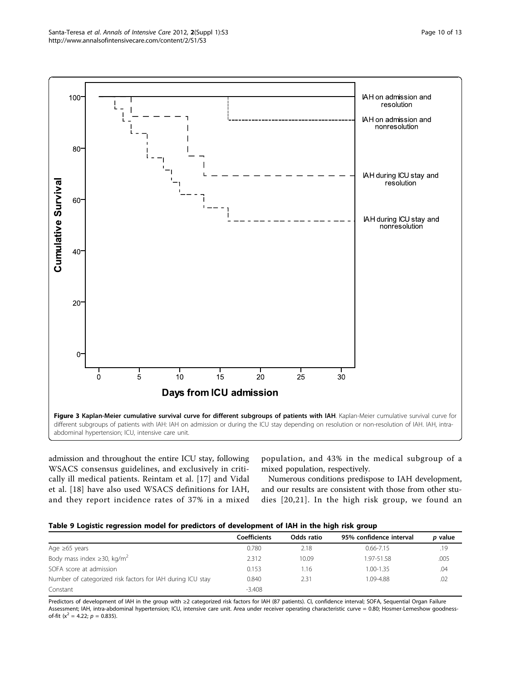<span id="page-9-0"></span>

admission and throughout the entire ICU stay, following WSACS consensus guidelines, and exclusively in critically ill medical patients. Reintam et al. [[17\]](#page-12-0) and Vidal et al. [[18\]](#page-12-0) have also used WSACS definitions for IAH, and they report incidence rates of 37% in a mixed population, and 43% in the medical subgroup of a mixed population, respectively.

Numerous conditions predispose to IAH development, and our results are consistent with those from other studies [[20,21](#page-12-0)]. In the high risk group, we found an

| Table 9 Logistic regression model for predictors of development of IAH in the high risk group |  |  |  |
|-----------------------------------------------------------------------------------------------|--|--|--|
|-----------------------------------------------------------------------------------------------|--|--|--|

|                                                            | Coefficients | Odds ratio | 95% confidence interval | p value |
|------------------------------------------------------------|--------------|------------|-------------------------|---------|
| Age $\geq 65$ years                                        | 0.780        | 2.18       | $0.66 - 7.15$           | .19     |
| Body mass index $\geq 30$ , kg/m <sup>2</sup>              | 2.312        | 10.09      | 1.97-51.58              | .005    |
| SOFA score at admission                                    | 0.153        | 1.16       | $1.00 - 1.35$           | .04     |
| Number of categorized risk factors for IAH during ICU stay | 0.840        | 2.31       | 1.09-4.88               | .02     |
| Constant                                                   | $-3.408$     |            |                         |         |

Predictors of development of IAH in the group with ≥2 categorized risk factors for IAH (87 patients). CI, confidence interval; SOFA, Sequential Organ Failure Assessment; IAH, intra-abdominal hypertension; ICU, intensive care unit. Area under receiver operating characteristic curve = 0.80; Hosmer-Lemeshow goodnessof-fit ( $x^2 = 4.22$ ;  $p = 0.835$ ).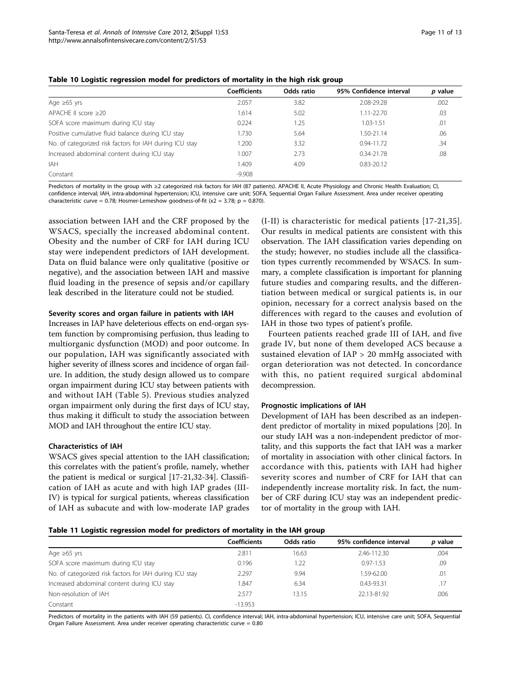<span id="page-10-0"></span>

|  |  | Table 10 Logistic regression model for predictors of mortality in the high risk group |
|--|--|---------------------------------------------------------------------------------------|
|--|--|---------------------------------------------------------------------------------------|

|                                                         | <b>Coefficients</b> | Odds ratio | 95% Confidence interval | p value |
|---------------------------------------------------------|---------------------|------------|-------------------------|---------|
| Age $\geq 65$ yrs                                       | 2.057               | 3.82       | 2.08-29.28              | .002    |
| $APACHF$ Il score $>20$                                 | 1.614               | 5.02       | 1.11-22.70              | .03     |
| SOFA score maximum during ICU stay                      | 0.224               | 1.25       | $1.03 - 1.51$           | .01     |
| Positive cumulative fluid balance during ICU stay       | 1.730               | 5.64       | 1.50-21.14              | .06     |
| No. of categorized risk factors for IAH during ICU stay | .200                | 3.32       | $0.94 - 11.72$          | .34     |
| Increased abdominal content during ICU stay             | .007                | 2.73       | 0.34-21.78              | .08     |
| <b>IAH</b>                                              | .409                | 4.09       | $0.83 - 20.12$          |         |
| Constant                                                | $-9.908$            |            |                         |         |

Predictors of mortality in the group with ≥2 categorized risk factors for IAH (87 patients). APACHE II, Acute Physiology and Chronic Health Evaluation; CI, confidence interval; IAH, intra-abdominal hypertension; ICU, intensive care unit; SOFA, Sequential Organ Failure Assessment. Area under receiver operating characteristic curve = 0.78; Hosmer-Lemeshow goodness-of-fit  $(x2 = 3.78; p = 0.870)$ .

association between IAH and the CRF proposed by the WSACS, specially the increased abdominal content. Obesity and the number of CRF for IAH during ICU stay were independent predictors of IAH development. Data on fluid balance were only qualitative (positive or negative), and the association between IAH and massive fluid loading in the presence of sepsis and/or capillary leak described in the literature could not be studied.

#### Severity scores and organ failure in patients with IAH

Increases in IAP have deleterious effects on end-organ system function by compromising perfusion, thus leading to multiorganic dysfunction (MOD) and poor outcome. In our population, IAH was significantly associated with higher severity of illness scores and incidence of organ failure. In addition, the study design allowed us to compare organ impairment during ICU stay between patients with and without IAH (Table [5\)](#page-5-0). Previous studies analyzed organ impairment only during the first days of ICU stay, thus making it difficult to study the association between MOD and IAH throughout the entire ICU stay.

#### Characteristics of IAH

WSACS gives special attention to the IAH classification; this correlates with the patient's profile, namely, whether the patient is medical or surgical [\[17-21](#page-12-0),[32-34\]](#page-12-0). Classification of IAH as acute and with high IAP grades (III-IV) is typical for surgical patients, whereas classification of IAH as subacute and with low-moderate IAP grades

(I-II) is characteristic for medical patients [[17](#page-12-0)-[21](#page-12-0),[35\]](#page-12-0). Our results in medical patients are consistent with this observation. The IAH classification varies depending on the study; however, no studies include all the classification types currently recommended by WSACS. In summary, a complete classification is important for planning future studies and comparing results, and the differentiation between medical or surgical patients is, in our opinion, necessary for a correct analysis based on the differences with regard to the causes and evolution of IAH in those two types of patient's profile.

Fourteen patients reached grade III of IAH, and five grade IV, but none of them developed ACS because a sustained elevation of IAP > 20 mmHg associated with organ deterioration was not detected. In concordance with this, no patient required surgical abdominal decompression.

#### Prognostic implications of IAH

Development of IAH has been described as an independent predictor of mortality in mixed populations [[20](#page-12-0)]. In our study IAH was a non-independent predictor of mortality, and this supports the fact that IAH was a marker of mortality in association with other clinical factors. In accordance with this, patients with IAH had higher severity scores and number of CRF for IAH that can independently increase mortality risk. In fact, the number of CRF during ICU stay was an independent predictor of mortality in the group with IAH.

|  |  |  |  |  |  | Table 11 Logistic regression model for predictors of mortality in the IAH group |  |  |  |  |  |  |
|--|--|--|--|--|--|---------------------------------------------------------------------------------|--|--|--|--|--|--|
|--|--|--|--|--|--|---------------------------------------------------------------------------------|--|--|--|--|--|--|

|                                                         | <b>Coefficients</b> | Odds ratio | 95% confidence interval | p value |
|---------------------------------------------------------|---------------------|------------|-------------------------|---------|
| Age $\geq 65$ yrs                                       | 2.811               | 16.63      | 2.46-112.30             | .004    |
| SOFA score maximum during ICU stay                      | 0.196               | 1.22       | $0.97 - 1.53$           | .09     |
| No. of categorized risk factors for IAH during ICU stay | 2.297               | 9.94       | 1.59-62.00              | .01     |
| Increased abdominal content during ICU stay             | .847                | 6.34       | 0.43-93.31              | .17     |
| Non-resolution of IAH                                   | 2.577               | 13.15      | 22.13-81.92             | .006    |
| Constant                                                | $-13.953$           |            |                         |         |

Predictors of mortality in the patients with IAH (59 patients). CI, confidence interval; IAH, intra-abdominal hypertension; ICU, intensive care unit; SOFA, Sequential Organ Failure Assessment. Area under receiver operating characteristic curve = 0.80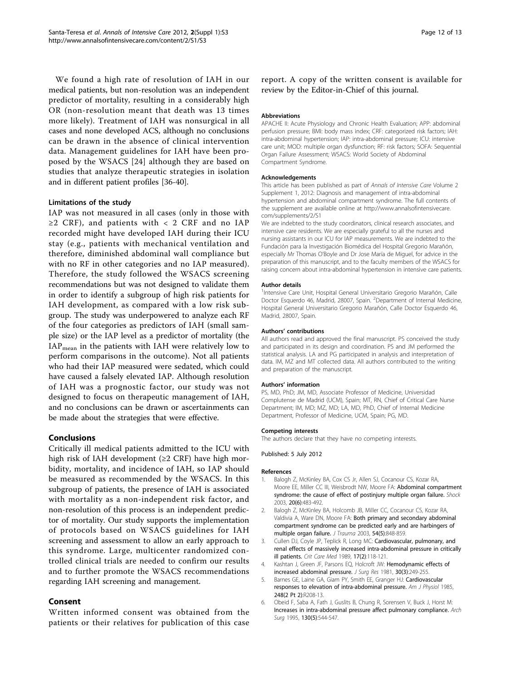<span id="page-11-0"></span>We found a high rate of resolution of IAH in our medical patients, but non-resolution was an independent predictor of mortality, resulting in a considerably high OR (non-resolution meant that death was 13 times more likely). Treatment of IAH was nonsurgical in all cases and none developed ACS, although no conclusions can be drawn in the absence of clinical intervention data. Management guidelines for IAH have been proposed by the WSACS [\[24\]](#page-12-0) although they are based on studies that analyze therapeutic strategies in isolation and in different patient profiles [[36](#page-12-0)-[40\]](#page-12-0).

#### Limitations of the study

IAP was not measured in all cases (only in those with  $\geq$ 2 CRF), and patients with < 2 CRF and no IAP recorded might have developed IAH during their ICU stay (e.g., patients with mechanical ventilation and therefore, diminished abdominal wall compliance but with no RF in other categories and no IAP measured). Therefore, the study followed the WSACS screening recommendations but was not designed to validate them in order to identify a subgroup of high risk patients for IAH development, as compared with a low risk subgroup. The study was underpowered to analyze each RF of the four categories as predictors of IAH (small sample size) or the IAP level as a predictor of mortality (the  $IAP_{\text{mean}}$  in the patients with IAH were relatively low to perform comparisons in the outcome). Not all patients who had their IAP measured were sedated, which could have caused a falsely elevated IAP. Although resolution of IAH was a prognostic factor, our study was not designed to focus on therapeutic management of IAH, and no conclusions can be drawn or ascertainments can be made about the strategies that were effective.

#### Conclusions

Critically ill medical patients admitted to the ICU with high risk of IAH development (≥2 CRF) have high morbidity, mortality, and incidence of IAH, so IAP should be measured as recommended by the WSACS. In this subgroup of patients, the presence of IAH is associated with mortality as a non-independent risk factor, and non-resolution of this process is an independent predictor of mortality. Our study supports the implementation of protocols based on WSACS guidelines for IAH screening and assessment to allow an early approach to this syndrome. Large, multicenter randomized controlled clinical trials are needed to confirm our results and to further promote the WSACS recommendations regarding IAH screening and management.

#### Consent

Written informed consent was obtained from the patients or their relatives for publication of this case

report. A copy of the written consent is available for review by the Editor-in-Chief of this journal.

#### Abbreviations

APACHE II: Acute Physiology and Chronic Health Evaluation; APP: abdominal perfusion pressure; BMI: body mass index; CRF: categorized risk factors; IAH: intra-abdominal hypertension; IAP: intra-abdominal pressure; ICU: intensive care unit; MOD: multiple organ dysfunction; RF: risk factors; SOFA: Sequential Organ Failure Assessment; WSACS: World Society of Abdominal Compartment Syndrome.

#### Acknowledgements

This article has been published as part of Annals of Intensive Care Volume 2 Supplement 1, 2012: Diagnosis and management of intra-abdominal hypertension and abdominal compartment syndrome. The full contents of the supplement are available online at [http://www.annalsofintensivecare.](http://www.annalsofintensivecare.com/supplements/2/S1) [com/supplements/2/S1](http://www.annalsofintensivecare.com/supplements/2/S1)

We are indebted to the study coordinators, clinical research associates, and intensive care residents. We are especially grateful to all the nurses and nursing assistants in our ICU for IAP measurements. We are indebted to the Fundación para la Investigación Biomédica del Hospital Gregorio Marañón, especially Mr Thomas O'Boyle and Dr Jose María de Miguel, for advice in the preparation of this manuscript, and to the faculty members of the WSACS for raising concern about intra-abdominal hypertension in intensive care patients.

#### Author details

<sup>1</sup>Intensive Care Unit, Hospital General Universitario Gregorio Marañón, Calle Doctor Esquerdo 46, Madrid, 28007, Spain. <sup>2</sup>Department of Internal Medicine Hospital General Universitario Gregorio Marañón, Calle Doctor Esquerdo 46, Madrid, 28007, Spain.

#### Authors' contributions

All authors read and approved the final manuscript. PS conceived the study and participated in its design and coordination. PS and JM performed the statistical analysis. LA and PG participated in analysis and interpretation of data. IM, MZ and MT collected data. All authors contributed to the writing and preparation of the manuscript.

#### Authors' information

PS, MD, PhD; JM, MD, Associate Professor of Medicine, Universidad Complutense de Madrid (UCM), Spain; MT, RN, Chief of Critical Care Nurse Department; IM, MD; MZ, MD; LA, MD, PhD, Chief of Internal Medicine Department, Professor of Medicine, UCM, Spain; PG, MD.

#### Competing interests

The authors declare that they have no competing interests.

#### Published: 5 July 2012

#### References

- Balogh Z, McKinley BA, Cox CS Jr, Allen SJ, Cocanour CS, Kozar RA, Moore EE, Miller CC III, Weisbrodt NW, Moore FA: Abdominal compartment syndrome: the cause of effect of postinjury multiple organ failure. Shock 2003, 20(6):483-492.
- 2. Balogh Z, McKinley BA, Holcomb JB, Miller CC, Cocanour CS, Kozar RA, Valdivia A, Ware DN, Moore FA: Both primary and secondary abdominal compartment syndrome can be predicted early and are harbingers of multiple organ failure. J Trauma 2003, 54(5):848-859.
- 3. Cullen DJ, Coyle JP, Teplick R, Long MC: Cardiovascular, pulmonary, and renal effects of massively increased intra-abdominal pressure in critically ill patients. Crit Care Med 1989, 17(2):118-121.
- 4. Kashtan J, Green JF, Parsons EQ, Holcroft JW: Hemodynamic effects of increased abdominal pressure. J Surg Res 1981, 30(3):249-255.
- 5. Barnes GE, Laine GA, Giam PY, Smith EE, Granger HJ: Cardiovascular responses to elevation of intra-abdominal pressure. Am J Physiol 1985, 248(2 Pt 2):R208-13.
- 6. Obeid F, Saba A, Fath J, Guslits B, Chung R, Sorensen V, Buck J, Horst M: Increases in intra-abdominal pressure affect pulmonary compliance. Arch Surg 1995, 130(5):544-547.